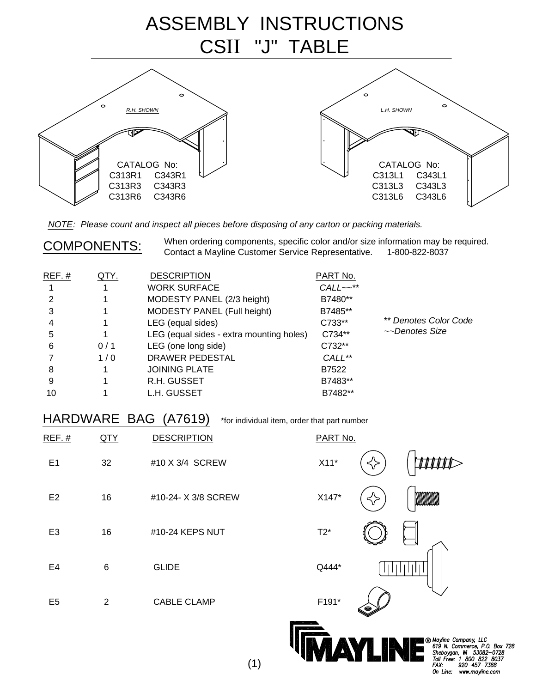

NOTE: Please count and inspect all pieces before disposing of any carton or packing materials.

COMPONENTS: When ordering components, specific color and/or size information may be required.<br>Contact a Mayline Customer Service Representative. 1-800-822-8037

| $REF.$ # | QTY. | <b>DESCRIPTION</b>                       | PART No.               |                       |
|----------|------|------------------------------------------|------------------------|-----------------------|
|          |      | <b>WORK SURFACE</b>                      | $CALL \sim \star\star$ |                       |
|          |      | MODESTY PANEL (2/3 height)               | B7480**                |                       |
| 3        |      | MODESTY PANEL (Full height)              | B7485**                |                       |
| 4        |      | LEG (equal sides)                        | C733**                 | ** Denotes Color Code |
| 5        |      | LEG (equal sides - extra mounting holes) | C734**                 | ~~Denotes Size        |
| 6        | 0/1  | LEG (one long side)                      | C732**                 |                       |
|          | 1/0  | DRAWER PEDESTAL                          | CALL**                 |                       |
| 8        |      | <b>JOINING PLATE</b>                     | B7522                  |                       |
| 9        |      | R.H. GUSSET                              | B7483**                |                       |
| 10       |      | L.H. GUSSET                              | B7482**                |                       |

HARDWARE BAG (A7619) \*for individual item, order that part number

''IV*W*AN Isin'wis

| REF.#          | QTY            | <b>DESCRIPTION</b>  | PART No.                                                                     |
|----------------|----------------|---------------------|------------------------------------------------------------------------------|
| E1             | 32             | #10 X 3/4 SCREW     | $X11*$                                                                       |
| E <sub>2</sub> | 16             | #10-24- X 3/8 SCREW | X147*<br>< >                                                                 |
| E <sub>3</sub> | 16             | #10-24 KEPS NUT     | $T2^*$                                                                       |
| E4             | $\,6$          | <b>GLIDE</b>        | Q444*                                                                        |
| E <sub>5</sub> | $\overline{2}$ | <b>CABLE CLAMP</b>  | F191*<br>G                                                                   |
|                |                |                     | <b>B</b> Mayline Company, LLC<br>619 N. Commerce, P.O.<br>Shebovgan W. 53082 |

Box 728  $-0728$ Toll Free: 1-800-822-8037<br>FAX: 920-457-7388 On Line: www.mayline.com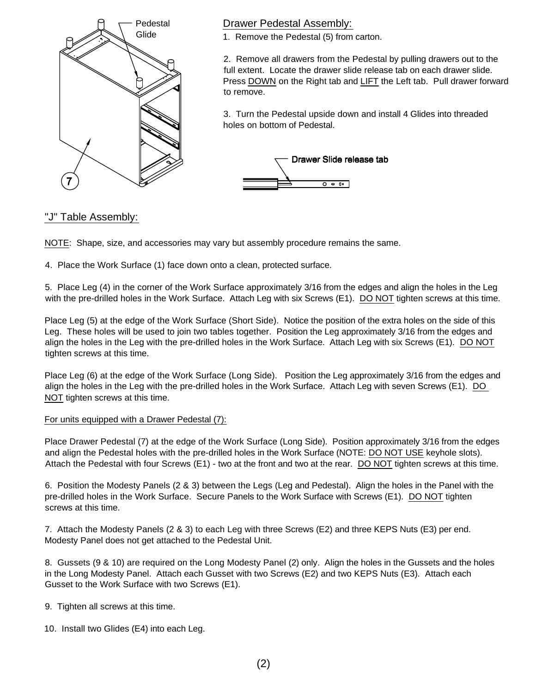

## Drawer Pedestal Assembly:

1. Remove the Pedestal (5) from carton.

2. Remove all drawers from the Pedestal by pulling drawers out to the full extent. Locate the drawer slide release tab on each drawer slide. Press DOWN on the Right tab and LIFT the Left tab. Pull drawer forward to remove.

3. Turn the Pedestal upside down and install 4 Glides into threaded holes on bottom of Pedestal.



## "J" Table Assembly:

NOTE: Shape, size, and accessories may vary but assembly procedure remains the same.

4. Place the Work Surface (1) face down onto a clean, protected surface.

5. Place Leg (4) in the corner of the Work Surface approximately 3/16 from the edges and align the holes in the Leg with the pre-drilled holes in the Work Surface. Attach Leg with six Screws (E1). DO NOT tighten screws at this time.

Place Leg (5) at the edge of the Work Surface (Short Side). Notice the position of the extra holes on the side of this Leg. These holes will be used to join two tables together. Position the Leg approximately 3/16 from the edges and align the holes in the Leg with the pre-drilled holes in the Work Surface. Attach Leg with six Screws (E1). DO NOT tighten screws at this time.

Place Leg (6) at the edge of the Work Surface (Long Side). Position the Leg approximately 3/16 from the edges and align the holes in the Leg with the pre-drilled holes in the Work Surface. Attach Leg with seven Screws (E1). DO NOT tighten screws at this time.

## For units equipped with a Drawer Pedestal (7):

Place Drawer Pedestal (7) at the edge of the Work Surface (Long Side). Position approximately 3/16 from the edges and align the Pedestal holes with the pre-drilled holes in the Work Surface (NOTE: DO NOT USE keyhole slots). Attach the Pedestal with four Screws (E1) - two at the front and two at the rear. DO NOT tighten screws at this time.

6. Position the Modesty Panels (2 & 3) between the Legs (Leg and Pedestal). Align the holes in the Panel with the pre-drilled holes in the Work Surface. Secure Panels to the Work Surface with Screws (E1). DO NOT tighten screws at this time.

7. Attach the Modesty Panels (2 & 3) to each Leg with three Screws (E2) and three KEPS Nuts (E3) per end. Modesty Panel does not get attached to the Pedestal Unit.

8. Gussets (9 & 10) are required on the Long Modesty Panel (2) only. Align the holes in the Gussets and the holes in the Long Modesty Panel. Attach each Gusset with two Screws (E2) and two KEPS Nuts (E3). Attach each Gusset to the Work Surface with two Screws (E1).

- 9. Tighten all screws at this time.
- 10. Install two Glides (E4) into each Leg.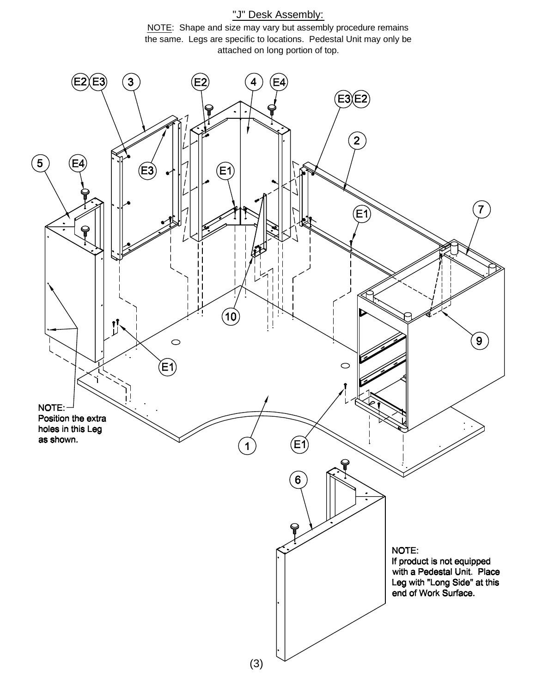## "J" Desk Assembly: NOTE: Shape and size may vary but assembly procedure remains the same. Legs are specific to locations. Pedestal Unit may only be attached on long portion of top.